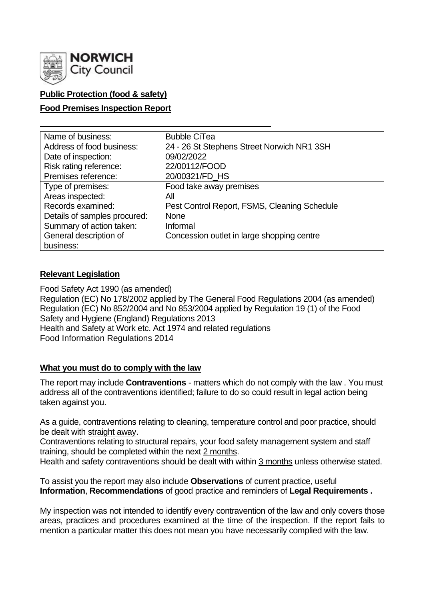

## **Public Protection (food & safety)**

## **Food Premises Inspection Report**

| Name of business:            | <b>Bubble CiTea</b>                          |
|------------------------------|----------------------------------------------|
| Address of food business:    | 24 - 26 St Stephens Street Norwich NR1 3SH   |
| Date of inspection:          | 09/02/2022                                   |
| Risk rating reference:       | 22/00112/FOOD                                |
| Premises reference:          | 20/00321/FD_HS                               |
| Type of premises:            | Food take away premises                      |
| Areas inspected:             | All                                          |
| Records examined:            | Pest Control Report, FSMS, Cleaning Schedule |
| Details of samples procured: | <b>None</b>                                  |
| Summary of action taken:     | Informal                                     |
| General description of       | Concession outlet in large shopping centre   |
| business:                    |                                              |

## **Relevant Legislation**

Food Safety Act 1990 (as amended) Regulation (EC) No 178/2002 applied by The General Food Regulations 2004 (as amended) Regulation (EC) No 852/2004 and No 853/2004 applied by Regulation 19 (1) of the Food Safety and Hygiene (England) Regulations 2013 Health and Safety at Work etc. Act 1974 and related regulations Food Information Regulations 2014

## **What you must do to comply with the law**

The report may include **Contraventions** - matters which do not comply with the law . You must address all of the contraventions identified; failure to do so could result in legal action being taken against you.

As a guide, contraventions relating to cleaning, temperature control and poor practice, should be dealt with straight away.

Contraventions relating to structural repairs, your food safety management system and staff training, should be completed within the next 2 months.

Health and safety contraventions should be dealt with within 3 months unless otherwise stated.

To assist you the report may also include **Observations** of current practice, useful **Information**, **Recommendations** of good practice and reminders of **Legal Requirements .**

My inspection was not intended to identify every contravention of the law and only covers those areas, practices and procedures examined at the time of the inspection. If the report fails to mention a particular matter this does not mean you have necessarily complied with the law.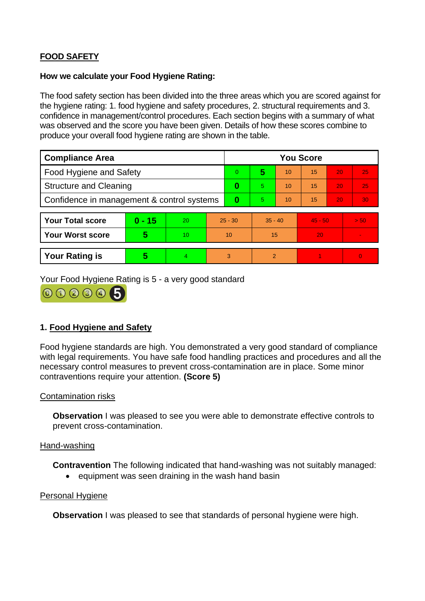# **FOOD SAFETY**

### **How we calculate your Food Hygiene Rating:**

The food safety section has been divided into the three areas which you are scored against for the hygiene rating: 1. food hygiene and safety procedures, 2. structural requirements and 3. confidence in management/control procedures. Each section begins with a summary of what was observed and the score you have been given. Details of how these scores combine to produce your overall food hygiene rating are shown in the table.

| <b>Compliance Area</b>                     |          |    |           | <b>You Score</b> |           |    |           |    |          |  |
|--------------------------------------------|----------|----|-----------|------------------|-----------|----|-----------|----|----------|--|
| Food Hygiene and Safety                    |          |    |           | $\overline{0}$   | 5         | 10 | 15        | 20 | 25       |  |
| <b>Structure and Cleaning</b>              |          |    | $\bf{0}$  | 5                | 10        | 15 | 20        | 25 |          |  |
| Confidence in management & control systems |          |    | $\bf{0}$  | 5.               | 10        | 15 | 20        | 30 |          |  |
|                                            |          |    |           |                  |           |    |           |    |          |  |
| <b>Your Total score</b>                    | $0 - 15$ | 20 | $25 - 30$ |                  | $35 - 40$ |    | $45 - 50$ |    | > 50     |  |
| <b>Your Worst score</b>                    | 5        | 10 | 10        |                  | 15        |    | 20        |    |          |  |
|                                            |          |    |           |                  |           |    |           |    |          |  |
| <b>Your Rating is</b>                      | 5        | 4  |           | 3                | 2         |    |           |    | $\Omega$ |  |

Your Food Hygiene Rating is 5 - a very good standard



## **1. Food Hygiene and Safety**

Food hygiene standards are high. You demonstrated a very good standard of compliance with legal requirements. You have safe food handling practices and procedures and all the necessary control measures to prevent cross-contamination are in place. Some minor contraventions require your attention. **(Score 5)**

## Contamination risks

**Observation** I was pleased to see you were able to demonstrate effective controls to prevent cross-contamination.

#### Hand-washing

**Contravention** The following indicated that hand-washing was not suitably managed:

• equipment was seen draining in the wash hand basin

## Personal Hygiene

**Observation** I was pleased to see that standards of personal hygiene were high.